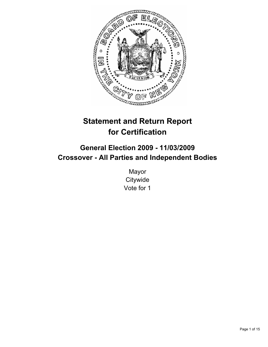

# **Statement and Return Report for Certification**

# **General Election 2009 - 11/03/2009 Crossover - All Parties and Independent Bodies**

Mayor **Citywide** Vote for 1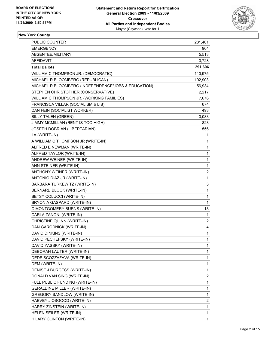

# **New York County**

| <b>PUBLIC COUNTER</b>                               | 281,401 |
|-----------------------------------------------------|---------|
| <b>EMERGENCY</b>                                    | 964     |
| ABSENTEE/MILITARY                                   | 5,513   |
| <b>AFFIDAVIT</b>                                    | 3,728   |
| <b>Total Ballots</b>                                | 291,606 |
| WILLIAM C THOMPSON JR. (DEMOCRATIC)                 | 110,975 |
| MICHAEL R BLOOMBERG (REPUBLICAN)                    | 102,903 |
| MICHAEL R BLOOMBERG (INDEPENDENCE/JOBS & EDUCATION) | 56,934  |
| STEPHEN CHRISTOPHER (CONSERVATIVE)                  | 2,217   |
| WILLIAM C THOMPSON JR. (WORKING FAMILIES)           | 7,676   |
| FRANCISCA VILLAR (SOCIALISM & LIB)                  | 674     |
| DAN FEIN (SOCIALIST WORKER)                         | 493     |
| <b>BILLY TALEN (GREEN)</b>                          | 3,083   |
| JIMMY MCMILLAN (RENT IS TOO HIGH)                   | 823     |
| JOSEPH DOBRIAN (LIBERTARIAN)                        | 556     |
| 1A (WRITE-IN)                                       | 1       |
| A WILLIAM C THOMPSON JR (WRITE-IN)                  | 1       |
| ALFRED E NEWMAN (WRITE-IN)                          | 1       |
| ALFRED TAYLOR (WRITE-IN)                            | 1       |
| ANDREW WEINER (WRITE-IN)                            | 1       |
| ANN STEINER (WRITE-IN)                              | 1       |
| ANTHONY WEINER (WRITE-IN)                           | 2       |
| ANTONIO DIAZ JR (WRITE-IN)                          | 1       |
| BARBARA TURKEWITZ (WRITE-IN)                        | 3       |
| <b>BERNARD BLOCK (WRITE-IN)</b>                     | 1       |
| BETSY COLUCCI (WRITE-IN)                            | 1       |
| BRYON A GASPARD (WRITE-IN)                          | 1       |
| C MONTGOMERY BURNS (WRITE-IN)                       | 13      |
| CARLA ZANONI (WRITE-IN)                             | 1       |
| CHRISTINE QUINN (WRITE-IN)                          | 2       |
| DAN GARODNICK (WRITE-IN)                            | 4       |
| DAVID DINKINS (WRITE-IN)                            | 1       |
| DAVID PECHEFSKY (WRITE-IN)                          | 1       |
| DAVID YASSKY (WRITE-IN)                             | 1       |
| DEBORAH LAUTER (WRITE-IN)                           | 1       |
| DEDE SCOZZAFAVA (WRITE-IN)                          | 1       |
| DEM (WRITE-IN)                                      | 1       |
| DENISE J BURGESS (WRITE-IN)                         | 1       |
| DONALD VAN SING (WRITE-IN)                          | 2       |
| FULL PUBLIC FUNDING (WRITE-IN)                      | 1       |
| <b>GERALDINE MILLER (WRITE-IN)</b>                  | 1       |
| <b>GREGORY SANDLOW (WRITE-IN)</b>                   | 1       |
| HAEVEY J OSGOOD (WRITE-IN)                          | 2       |
| HARRY ZINSTEIN (WRITE-IN)                           | 1       |
| HELEN SEILER (WRITE-IN)                             | 1       |
| HILARY CLINTON (WRITE-IN)                           | 1       |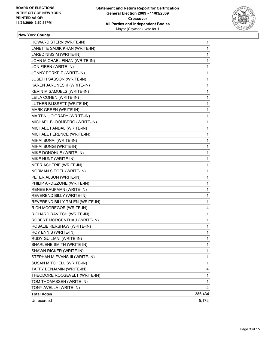

# **New York County**

| HOWARD STERN (WRITE-IN)         | 1            |
|---------------------------------|--------------|
| JANETTE SADIK KHAN (WRITE-IN)   | 1            |
| JARED NISSIM (WRITE-IN)         | 1            |
| JOHN MICHAEL FINAN (WRITE-IN)   | 1            |
| JON FIREN (WRITE-IN)            | $\mathbf{1}$ |
| JONNY PORKPIE (WRITE-IN)        | 1            |
| JOSEPH SASSON (WRITE-IN)        | 1            |
| KAREN JARONESKI (WRITE-IN)      | 1            |
| KEVIN M SAMUELS (WRITE-IN)      | 1            |
| LEILA COHEN (WRITE-IN)          | 1            |
| LUTHER BLISSETT (WRITE-IN)      | $\mathbf{1}$ |
| MARK GREEN (WRITE-IN)           | 1            |
| MARTIN J O'GRADY (WRITE-IN)     | 1            |
| MICHAEL BLOOMBERG (WRITE-IN)    | 1            |
| MICHAEL FANDAL (WRITE-IN)       | 1            |
| MICHAEL FERENCE (WRITE-IN)      | 1            |
| MIHAI BUNAI (WRITE-IN)          | $\mathbf{1}$ |
| MIHAI BUNGI (WRITE-IN)          | 1            |
| MIKE DONOHUE (WRITE-IN)         | 1            |
| MIKE HUNT (WRITE-IN)            | 1            |
| NEER ASHERIE (WRITE-IN)         | 1            |
| NORMAN SIEGEL (WRITE-IN)        | 1            |
| PETER ALSON (WRITE-IN)          | $\mathbf{1}$ |
| PHILIP ARDIZZONE (WRITE-IN)     | 1            |
| RENEE KAUFMAN (WRITE-IN)        | 1            |
| REVEREND BILLY (WRITE-IN)       | 1            |
| REVEREND BILLY TALEN (WRITE-IN) | 1            |
| RICH MCGREGOR (WRITE-IN)        | 4            |
| RICHARD RAVITCH (WRITE-IN)      | 1            |
| ROBERT MORGENTHAU (WRITE-IN)    | 1            |
| ROSALIE KERSHAW (WRITE-IN)      | 1            |
| ROY ENNIS (WRITE-IN)            | 1            |
| RUDY GUILIANI (WRITE-IN)        | 1            |
| SHARLENE SMITH (WRITE-IN)       | 1            |
| SHAWN RICKER (WRITE-IN)         | 1            |
| STEPHAN M EVANS III (WRITE-IN)  | 1            |
| SUSAN MITCHELL (WRITE-IN)       | 1            |
| TAFFY BENJAMIN (WRITE-IN)       | 4            |
| THEODORE ROOSEVELT (WRITE-IN)   | 1            |
| TOM THOMASSEN (WRITE-IN)        | 1            |
| TONY AVELLA (WRITE-IN)          | 2            |
| <b>Total Votes</b>              | 286,434      |
| Unrecorded                      | 5,172        |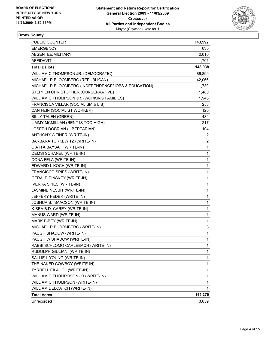

### **Bronx County**

| <b>PUBLIC COUNTER</b>                               | 143,992      |
|-----------------------------------------------------|--------------|
| EMERGENCY                                           | 635          |
| ABSENTEE/MILITARY                                   | 2,610        |
| AFFIDAVIT                                           | 1,701        |
| <b>Total Ballots</b>                                | 148,938      |
| WILLIAM C THOMPSON JR. (DEMOCRATIC)                 | 86,899       |
| MICHAEL R BLOOMBERG (REPUBLICAN)                    | 42,066       |
| MICHAEL R BLOOMBERG (INDEPENDENCE/JOBS & EDUCATION) | 11,730       |
| STEPHEN CHRISTOPHER (CONSERVATIVE)                  | 1,480        |
| WILLIAM C THOMPSON JR. (WORKING FAMILIES)           | 1,946        |
| FRANCISCA VILLAR (SOCIALISM & LIB)                  | 253          |
| DAN FEIN (SOCIALIST WORKER)                         | 120          |
| <b>BILLY TALEN (GREEN)</b>                          | 434          |
| JIMMY MCMILLAN (RENT IS TOO HIGH)                   | 217          |
| JOSEPH DOBRIAN (LIBERTARIAN)                        | 104          |
| ANTHONY WEINER (WRITE-IN)                           | 2            |
| BARBARA TURKEWITZ (WRITE-IN)                        | 2            |
| CIATTA BAYSAH (WRITE-IN)                            | $\mathbf{1}$ |
| DEMSI SCHANEL (WRITE-IN)                            | 1            |
| DONA FELA (WRITE-IN)                                | 1            |
| EDWARD I. KOCH (WRITE-IN)                           | 1            |
| FRANCISCO SPIES (WRITE-IN)                          | 1            |
| <b>GERALD PINSKEY (WRITE-IN)</b>                    | 1            |
| <b>IVERKA SPIES (WRITE-IN)</b>                      | 1            |
| JASMINE NESBIT (WRITE-IN)                           | 1            |
| JEFFERY FEDER (WRITE-IN)                            | 1            |
| JOSHUA B. ISAACSON (WRITE-IN)                       | 1            |
| K-SEA B.D. CAREY (WRITE-IN)                         | 1            |
| MANUS WARD (WRITE-IN)                               | 1            |
| MARK E-BEY (WRITE-IN)                               | 1            |
| MICHAEL R BLOOMBERG (WRITE-IN)                      | 3            |
| PAUGH SHADOW (WRITE-IN)                             | $\mathbf{1}$ |
| PAUGH W SHADOW (WRITE-IN)                           | 1            |
| RABBI SCHLOMO CARLEBACH (WRITE-IN)                  | 1            |
| RUDOLPH GIULIANI (WRITE-IN)                         | 1            |
| SALLIE L.YOUNG (WRITE-IN)                           | 1            |
| THE NAKED COWBOY (WRITE-IN)                         | 1            |
| TYRRELL EILAHOL (WRITE-IN)                          | 1            |
| WILLIAM C THOMPOSON JR (WRITE-IN)                   | 1            |
| WILLIAM C THOMPSON (WRITE-IN)                       | 1            |
| WILLIAM DELOATCH (WRITE-IN)                         | $\mathbf{1}$ |
| <b>Total Votes</b>                                  | 145,279      |
| Unrecorded                                          | 3,659        |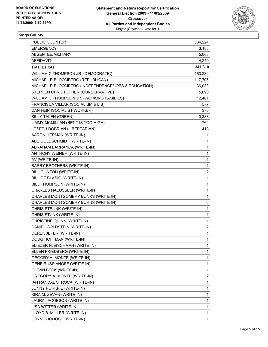

### **Kings County**

| PUBLIC COUNTER                                      | 334,224 |
|-----------------------------------------------------|---------|
| <b>EMERGENCY</b>                                    | 3,183   |
| ABSENTEE/MILITARY                                   | 5,663   |
| AFFIDAVIT                                           | 4,240   |
| <b>Total Ballots</b>                                | 347,310 |
| WILLIAM C THOMPSON JR. (DEMOCRATIC)                 | 163,230 |
| MICHAEL R BLOOMBERG (REPUBLICAN)                    | 117,706 |
| MICHAEL R BLOOMBERG (INDEPENDENCE/JOBS & EDUCATION) | 36,033  |
| STEPHEN CHRISTOPHER (CONSERVATIVE)                  | 5,690   |
| WILLIAM C THOMPSON JR. (WORKING FAMILIES)           | 12,461  |
| FRANCISCA VILLAR (SOCIALISM & LIB)                  | 577     |
| DAN FEIN (SOCIALIST WORKER)                         | 376     |
| <b>BILLY TALEN (GREEN)</b>                          | 3,338   |
| JIMMY MCMILLAN (RENT IS TOO HIGH)                   | 764     |
| JOSEPH DOBRIAN (LIBERTARIAN)                        | 413     |
| AARON HERMAN (WRITE-IN)                             | 1       |
| ABE GOLDSCHMIDT (WRITE-IN)                          | 1       |
| ABRAHAM BARRANCA (WRITE-IN)                         | 1       |
| ANTHONY WEINER (WRITE-IN)                           | 1       |
| AV (WRITE-IN)                                       | 1       |
| <b>BARRY BROTHERS (WRITE-IN)</b>                    | 1       |
| BILL CLINTON (WRITE-IN)                             | 2       |
| BILL DE BLASIO (WRITE-IN)                           | 1       |
| BILL THOMPSON (WRITE-IN)                            | 1       |
| CHARLES HAEUSSLER (WRITE-IN)                        | 1       |
| CHARLES MONTGOMERY BUNRS (WRITE-IN)                 | 1       |
| CHARLES MONTGOMERY BURNS (WRITE-IN)                 | 6       |
| CHRIS STRUNK (WRITE-IN)                             | 1       |
| CHRIS STUNK (WRITE-IN)                              | 1       |
| CHRISTINE QUINN (WRITE-IN)                          | 1       |
| DANIEL GOLDSTEIN (WRITE-IN)                         | 2       |
| DEREK JETER (WRITE-IN)                              | 1       |
| DOUG HOFFMAN (WRITE-IN)                             | 1       |
| ELIEZER FLEISCHMAN (WRITE-IN)                       | 1       |
| ELLEN FRIEDBERG (WRITE-IN)                          | 1       |
| GEGORY A. MONTE (WRITE-IN)                          | 1       |
| <b>GENE RUSSIANOFF (WRITE-IN)</b>                   | 1       |
| <b>GLENN BECK (WRITE-IN)</b>                        | 1       |
| GREGORY A. MONTE (WRITE-IN)                         | 2       |
| IAN RANDAL STROCK (WRITE-IN)                        | 1       |
| <b>JONNY PORKPIE (WRITE-IN)</b>                     | 1       |
| KIRA M. ZEVAN (WRITE-IN)                            | 1       |
| LAURA JACOBSON (WRITE-IN)                           | 1       |
| LISA WITTER (WRITE-IN)                              | 1       |
| LLOYD B. MILLER (WRITE-IN)                          | 1       |
| LORN CHODOSH (WRITE-IN)                             | 1       |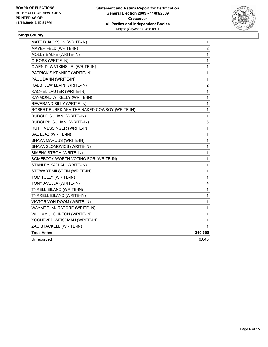

# **Kings County**

| MATT B JACKSON (WRITE-IN)                    | 1            |
|----------------------------------------------|--------------|
| MAYER FELD (WRITE-IN)                        | 2            |
| MOLLY BALFE (WRITE-IN)                       | 1            |
| O-ROSS (WRITE-IN)                            | 1            |
| OWEN D. WATKINS JR. (WRITE-IN)               | $\mathbf 1$  |
| PATRICK S KENNIFF (WRITE-IN)                 | $\mathbf{1}$ |
| PAUL DANN (WRITE-IN)                         | $\mathbf 1$  |
| RABBI LEW LEVIN (WRITE-IN)                   | 2            |
| RACHEL LAUTER (WRITE-IN)                     | 1            |
| RAYMOND W. KELLY (WRITE-IN)                  | 1            |
| REVERAND BILLY (WRITE-IN)                    | 1            |
| ROBERT BUREK AKA THE NAKED COWBOY (WRITE-IN) | 1            |
| RUDOLF GULIANI (WRITE-IN)                    | 1            |
| RUDOLPH GULIANI (WRITE-IN)                   | 3            |
| RUTH MESSINGER (WRITE-IN)                    | 1            |
| SAL EJAZ (WRITE-IN)                          | 1            |
| SHAYA MARCUS (WRITE-IN)                      | 1            |
| SHAYA SLOMOVICS (WRITE-IN)                   | 1            |
| SIMEHA STROH (WRITE-IN)                      | 1            |
| SOMEBODY WORTH VOTING FOR (WRITE-IN)         | 1            |
| STANLEY KAPLAL (WRITE-IN)                    | 1            |
| STEWART MILSTEIN (WRITE-IN)                  | 1            |
| TOM TULLY (WRITE-IN)                         | 1            |
| TONY AVELLA (WRITE-IN)                       | 4            |
| <b>TYRELL EILAND (WRITE-IN)</b>              | 1            |
| TYRRELL EILAND (WRITE-IN)                    | 1            |
| VICTOR VON DOOM (WRITE-IN)                   | $\mathbf 1$  |
| WAYNE T. MURATORE (WRITE-IN)                 | 1            |
| WILLIAM J. CLINTON (WRITE-IN)                | 1            |
| YOCHEVED WEISSMAN (WRITE-IN)                 | 1            |
| ZAC STACKELL (WRITE-IN)                      | 1            |
| <b>Total Votes</b>                           | 340,665      |
| Unrecorded                                   | 6,645        |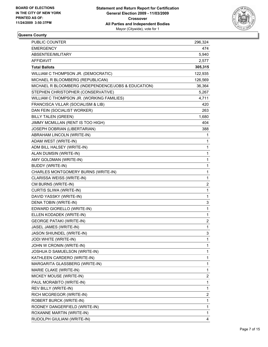

#### **Queens County**

| <b>PUBLIC COUNTER</b>                               | 296,324                 |
|-----------------------------------------------------|-------------------------|
| <b>EMERGENCY</b>                                    | 474                     |
| ABSENTEE/MILITARY                                   | 5,940                   |
| AFFIDAVIT                                           | 2,577                   |
| <b>Total Ballots</b>                                | 305,315                 |
| WILLIAM C THOMPSON JR. (DEMOCRATIC)                 | 122,935                 |
| MICHAEL R BLOOMBERG (REPUBLICAN)                    | 126,569                 |
| MICHAEL R BLOOMBERG (INDEPENDENCE/JOBS & EDUCATION) | 36,364                  |
| STEPHEN CHRISTOPHER (CONSERVATIVE)                  | 5,267                   |
| WILLIAM C THOMPSON JR. (WORKING FAMILIES)           | 4,711                   |
| FRANCISCA VILLAR (SOCIALISM & LIB)                  | 420                     |
| DAN FEIN (SOCIALIST WORKER)                         | 263                     |
| <b>BILLY TALEN (GREEN)</b>                          | 1,680                   |
| JIMMY MCMILLAN (RENT IS TOO HIGH)                   | 404                     |
| JOSEPH DOBRIAN (LIBERTARIAN)                        | 388                     |
| ABRAHAM LINCOLN (WRITE-IN)                          | 1                       |
| ADAM WEST (WRITE-IN)                                | 1                       |
| ADM BILL HALSEY (WRITE-IN)                          | 1                       |
| ALAN DUMSIN (WRITE-IN)                              | $\mathbf 1$             |
| AMY GOLDMAN (WRITE-IN)                              | 1                       |
| <b>BUDDY (WRITE-IN)</b>                             | $\mathbf{1}$            |
| CHARLES MONTGOMERY BURNS (WRITE-IN)                 | $\mathbf 1$             |
| CLARISSA WEISS (WRITE-IN)                           | 1                       |
| CM BURNS (WRITE-IN)                                 | 2                       |
| <b>CURTIS SLIWA (WRITE-IN)</b>                      | $\mathbf 1$             |
| DAVID YASSKY (WRITE-IN)                             | 1                       |
| DENA TOBIN (WRITE-IN)                               | 3                       |
| EDWARD GIORELLO (WRITE-IN)                          | $\mathbf 1$             |
| ELLEN KODADEK (WRITE-IN)                            | 1                       |
| <b>GEORGE PATAKI (WRITE-IN)</b>                     | 2                       |
| JASEL JAMES (WRITE-IN)                              | 1                       |
| JASON SHIUNDEL (WRITE-IN)                           | 3                       |
| JODI WHITE (WRITE-IN)                               | 1                       |
| JOHN W CRONIN (WRITE-IN)                            | 1                       |
| JOSHUA D SAMUELSON (WRITE-IN)                       | 1                       |
| KATHLEEN CARDERO (WRITE-IN)                         | 1                       |
| MARGARITA GLASSBERG (WRITE-IN)                      | 1                       |
| MARIE CLAKE (WRITE-IN)                              | 1                       |
| MICKEY MOUSE (WRITE-IN)                             | 2                       |
| PAUL MORABITO (WRITE-IN)                            | $\mathbf 1$             |
| REV BILLY (WRITE-IN)                                | 1                       |
| RICH MCGREGOR (WRITE-IN)                            | $\overline{\mathbf{c}}$ |
| ROBERT BURCK (WRITE-IN)                             | 1                       |
| RODNEY DANGERFIELD (WRITE-IN)                       | 1                       |
| ROXANNE MARTIN (WRITE-IN)                           | 1                       |
| RUDOLPH GIULIANI (WRITE-IN)                         | 4                       |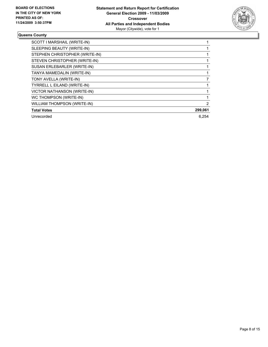

#### **Queens County**

| SCOTT I MARSHAIL (WRITE-IN)        |         |
|------------------------------------|---------|
| SLEEPING BEAUTY (WRITE-IN)         |         |
| STEPHEN CHRISTOPHER (WRITE-IN)     |         |
| STEVEN CHRISTOPHER (WRITE-IN)      |         |
| SUSAN ERLEBARLER (WRITE-IN)        |         |
| TANYA MAMEDALIN (WRITE-IN)         |         |
| TONY AVELLA (WRITE-IN)             |         |
| <b>TYRRELL L EILAND (WRITE-IN)</b> |         |
| <b>VICTOR NATHANSON (WRITE-IN)</b> |         |
| WC THOMPSON (WRITE-IN)             |         |
| <b>WILLIAM THOMPSON (WRITE-IN)</b> | 2       |
| <b>Total Votes</b>                 | 299,061 |
| Unrecorded                         | 6.254   |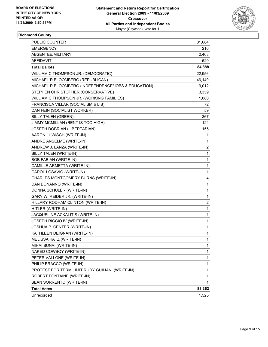

# **Richmond County**

| PUBLIC COUNTER                                      | 81,684         |
|-----------------------------------------------------|----------------|
| <b>EMERGENCY</b>                                    | 216            |
| ABSENTEE/MILITARY                                   | 2,468          |
| AFFIDAVIT                                           | 520            |
| <b>Total Ballots</b>                                | 84,888         |
| WILLIAM C THOMPSON JR. (DEMOCRATIC)                 | 22,956         |
| MICHAEL R BLOOMBERG (REPUBLICAN)                    | 46,149         |
| MICHAEL R BLOOMBERG (INDEPENDENCE/JOBS & EDUCATION) | 9,012          |
| STEPHEN CHRISTOPHER (CONSERVATIVE)                  | 3,359          |
| WILLIAM C THOMPSON JR. (WORKING FAMILIES)           | 1,080          |
| FRANCISCA VILLAR (SOCIALISM & LIB)                  | 72             |
| DAN FEIN (SOCIALIST WORKER)                         | 59             |
| <b>BILLY TALEN (GREEN)</b>                          | 367            |
| JIMMY MCMILLAN (RENT IS TOO HIGH)                   | 124            |
| JOSEPH DOBRIAN (LIBERTARIAN)                        | 155            |
| AARON LUWISCH (WRITE-IN)                            | 1              |
| ANDRE ANSELME (WRITE-IN)                            | 1              |
| ANDREW J. LANZA (WRITE-IN)                          | $\overline{2}$ |
| BILLY TALEN (WRITE-IN)                              | 1              |
| <b>BOB FABIAN (WRITE-IN)</b>                        | 1              |
| CAMILLE ARMETTA (WRITE-IN)                          | 1              |
| CAROL LOSAVIO (WRITE-IN)                            | 1              |
| CHARLES MONTGOMERY BURNS (WRITE-IN)                 | 4              |
| DAN BONANNO (WRITE-IN)                              | 1              |
| DONNA SCHULER (WRITE-IN)                            | 1              |
| GARY W. REIDER JR. (WRITE-IN)                       | 1              |
| HILLARY RODHAM CLINTON (WRITE-IN)                   | $\overline{2}$ |
| HITLER (WRITE-IN)                                   | 1              |
| JACQUELINE ACKALITIS (WRITE-IN)                     | 1              |
| JOSEPH RICCIO IV (WRITE-IN)                         | 1              |
| JOSHUA P. CENTER (WRITE-IN)                         | 1              |
| KATHLEEN DEIGNAN (WRITE-IN)                         | 1              |
| MELISSA KATZ (WRITE-IN)                             | 1              |
| MIHAI BUNAI (WRITE-IN)                              | 1              |
| NAKED COWBOY (WRITE-IN)                             | 1              |
| PETER VALLONE (WRITE-IN)                            | 1              |
| PHILIP BRACCO (WRITE-IN)                            | 1              |
| PROTEST FOR TERM LIMIT RUDY GUILIANI (WRITE-IN)     | 1              |
| ROBERT FONTAINE (WRITE-IN)                          | 1              |
| SEAN SORRENTO (WRITE-IN)                            | 1              |
| <b>Total Votes</b>                                  | 83,363         |
| Unrecorded                                          | 1,525          |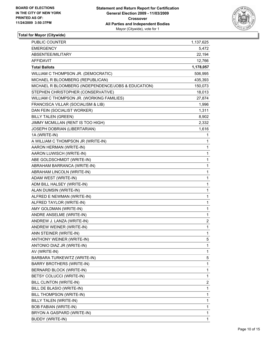

| PUBLIC COUNTER                                      | 1,137,625               |
|-----------------------------------------------------|-------------------------|
| <b>EMERGENCY</b>                                    | 5,472                   |
| ABSENTEE/MILITARY                                   | 22,194                  |
| AFFIDAVIT                                           | 12,766                  |
| <b>Total Ballots</b>                                | 1,178,057               |
| WILLIAM C THOMPSON JR. (DEMOCRATIC)                 | 506,995                 |
| MICHAEL R BLOOMBERG (REPUBLICAN)                    | 435,393                 |
| MICHAEL R BLOOMBERG (INDEPENDENCE/JOBS & EDUCATION) | 150,073                 |
| STEPHEN CHRISTOPHER (CONSERVATIVE)                  | 18,013                  |
| WILLIAM C THOMPSON JR. (WORKING FAMILIES)           | 27,874                  |
| FRANCISCA VILLAR (SOCIALISM & LIB)                  | 1,996                   |
| DAN FEIN (SOCIALIST WORKER)                         | 1,311                   |
| <b>BILLY TALEN (GREEN)</b>                          | 8,902                   |
| JIMMY MCMILLAN (RENT IS TOO HIGH)                   | 2,332                   |
| JOSEPH DOBRIAN (LIBERTARIAN)                        | 1,616                   |
| 1A (WRITE-IN)                                       | 1                       |
| A WILLIAM C THOMPSON JR (WRITE-IN)                  | 1                       |
| AARON HERMAN (WRITE-IN)                             | 1                       |
| AARON LUWISCH (WRITE-IN)                            | 1                       |
| ABE GOLDSCHMIDT (WRITE-IN)                          | 1                       |
| ABRAHAM BARRANCA (WRITE-IN)                         | 1                       |
| ABRAHAM LINCOLN (WRITE-IN)                          | 1                       |
| ADAM WEST (WRITE-IN)                                | 1                       |
| ADM BILL HALSEY (WRITE-IN)                          | 1                       |
| ALAN DUMSIN (WRITE-IN)                              | 1                       |
| ALFRED E NEWMAN (WRITE-IN)                          | 1                       |
| ALFRED TAYLOR (WRITE-IN)                            | 1                       |
| AMY GOLDMAN (WRITE-IN)                              | 1                       |
| ANDRE ANSELME (WRITE-IN)                            | 1                       |
| ANDREW J. LANZA (WRITE-IN)                          | 2                       |
| ANDREW WEINER (WRITE-IN)                            | 1                       |
| ANN STEINER (WRITE-IN)                              | 1                       |
| ANTHONY WEINER (WRITE-IN)                           | 5                       |
| ANTONIO DIAZ JR (WRITE-IN)                          | 1                       |
| AV (WRITE-IN)                                       | 1                       |
| BARBARA TURKEWITZ (WRITE-IN)                        | 5                       |
| BARRY BROTHERS (WRITE-IN)                           | 1                       |
| BERNARD BLOCK (WRITE-IN)                            | 1                       |
| BETSY COLUCCI (WRITE-IN)                            | 1                       |
| <b>BILL CLINTON (WRITE-IN)</b>                      | $\overline{\mathbf{c}}$ |
| BILL DE BLASIO (WRITE-IN)                           | 1                       |
| BILL THOMPSON (WRITE-IN)                            | 1                       |
| BILLY TALEN (WRITE-IN)                              | 1                       |
| <b>BOB FABIAN (WRITE-IN)</b>                        | 1                       |
| BRYON A GASPARD (WRITE-IN)                          | 1                       |
| <b>BUDDY (WRITE-IN)</b>                             | 1                       |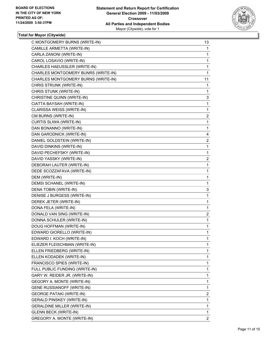

| C MONTGOMERY BURNS (WRITE-IN)       | 13             |
|-------------------------------------|----------------|
| CAMILLE ARMETTA (WRITE-IN)          | 1              |
| CARLA ZANONI (WRITE-IN)             | 1              |
| CAROL LOSAVIO (WRITE-IN)            | 1              |
| CHARLES HAEUSSLER (WRITE-IN)        | $\mathbf 1$    |
| CHARLES MONTGOMERY BUNRS (WRITE-IN) | 1              |
| CHARLES MONTGOMERY BURNS (WRITE-IN) | 11             |
| CHRIS STRUNK (WRITE-IN)             | 1              |
| CHRIS STUNK (WRITE-IN)              | 1              |
| CHRISTINE QUINN (WRITE-IN)          | 3              |
| CIATTA BAYSAH (WRITE-IN)            | $\mathbf 1$    |
| CLARISSA WEISS (WRITE-IN)           | $\mathbf 1$    |
| CM BURNS (WRITE-IN)                 | 2              |
| CURTIS SLIWA (WRITE-IN)             | $\mathbf 1$    |
| DAN BONANNO (WRITE-IN)              | $\mathbf 1$    |
| DAN GARODNICK (WRITE-IN)            | 4              |
| DANIEL GOLDSTEIN (WRITE-IN)         | 2              |
| DAVID DINKINS (WRITE-IN)            | $\mathbf 1$    |
| DAVID PECHEFSKY (WRITE-IN)          | 1              |
| DAVID YASSKY (WRITE-IN)             | 2              |
| DEBORAH LAUTER (WRITE-IN)           | 1              |
| DEDE SCOZZAFAVA (WRITE-IN)          | 1              |
| DEM (WRITE-IN)                      | $\mathbf 1$    |
| DEMSI SCHANEL (WRITE-IN)            | 1              |
| DENA TOBIN (WRITE-IN)               | 3              |
| DENISE J BURGESS (WRITE-IN)         | $\mathbf 1$    |
| DEREK JETER (WRITE-IN)              | 1              |
| DONA FELA (WRITE-IN)                | 1              |
| DONALD VAN SING (WRITE-IN)          | 2              |
| DONNA SCHULER (WRITE-IN)            | $\mathbf 1$    |
| DOUG HOFFMAN (WRITE-IN)             | 1              |
| EDWARD GIORELLO (WRITE-IN)          | $\mathbf{1}$   |
| EDWARD I. KOCH (WRITE-IN)           | 1              |
| ELIEZER FLEISCHMAN (WRITE-IN)       | 1              |
| ELLEN FRIEDBERG (WRITE-IN)          | 1              |
| ELLEN KODADEK (WRITE-IN)            | 1              |
| FRANCISCO SPIES (WRITE-IN)          | 1              |
| FULL PUBLIC FUNDING (WRITE-IN)      | 1              |
| GARY W. REIDER JR. (WRITE-IN)       | 1              |
| GEGORY A. MONTE (WRITE-IN)          | 1              |
| <b>GENE RUSSIANOFF (WRITE-IN)</b>   | $\mathbf 1$    |
| <b>GEORGE PATAKI (WRITE-IN)</b>     | 2              |
| <b>GERALD PINSKEY (WRITE-IN)</b>    | 1              |
| GERALDINE MILLER (WRITE-IN)         | 1              |
| <b>GLENN BECK (WRITE-IN)</b>        | 1              |
| GREGORY A. MONTE (WRITE-IN)         | $\overline{2}$ |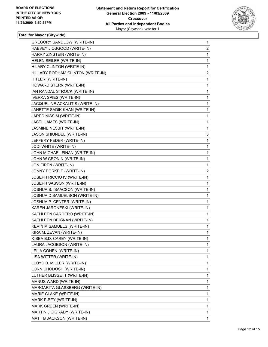

| <b>GREGORY SANDLOW (WRITE-IN)</b> | 1            |
|-----------------------------------|--------------|
| HAEVEY J OSGOOD (WRITE-IN)        | 2            |
| HARRY ZINSTEIN (WRITE-IN)         | 1            |
| HELEN SEILER (WRITE-IN)           | 1            |
| HILARY CLINTON (WRITE-IN)         | 1            |
| HILLARY RODHAM CLINTON (WRITE-IN) | $\mathbf{2}$ |
| HITLER (WRITE-IN)                 | 1            |
| HOWARD STERN (WRITE-IN)           | 1            |
| IAN RANDAL STROCK (WRITE-IN)      | 1            |
| <b>IVERKA SPIES (WRITE-IN)</b>    | 1            |
| JACQUELINE ACKALITIS (WRITE-IN)   | 1            |
| JANETTE SADIK KHAN (WRITE-IN)     | 1            |
| JARED NISSIM (WRITE-IN)           | 1            |
| JASEL JAMES (WRITE-IN)            | 1            |
| JASMINE NESBIT (WRITE-IN)         | 1            |
| JASON SHIUNDEL (WRITE-IN)         | 3            |
| JEFFERY FEDER (WRITE-IN)          | 1            |
| JODI WHITE (WRITE-IN)             | 1            |
| JOHN MICHAEL FINAN (WRITE-IN)     | 1            |
| JOHN W CRONIN (WRITE-IN)          | 1            |
| JON FIREN (WRITE-IN)              | 1            |
| JONNY PORKPIE (WRITE-IN)          | 2            |
| JOSEPH RICCIO IV (WRITE-IN)       | 1            |
| JOSEPH SASSON (WRITE-IN)          | 1            |
| JOSHUA B. ISAACSON (WRITE-IN)     | 1            |
| JOSHUA D SAMUELSON (WRITE-IN)     | 1            |
| JOSHUA P. CENTER (WRITE-IN)       | 1            |
| KAREN JARONESKI (WRITE-IN)        | 1            |
| KATHLEEN CARDERO (WRITE-IN)       | 1            |
| KATHLEEN DEIGNAN (WRITE-IN)       | 1            |
| KEVIN M SAMUELS (WRITE-IN)        | 1            |
| KIRA M. ZEVAN (WRITE-IN)          | 1            |
| K-SEA B.D. CAREY (WRITE-IN)       | 1            |
| LAURA JACOBSON (WRITE-IN)         | 1            |
| LEILA COHEN (WRITE-IN)            | 1            |
| LISA WITTER (WRITE-IN)            | 1            |
| LLOYD B. MILLER (WRITE-IN)        | 1            |
| LORN CHODOSH (WRITE-IN)           | 1            |
| LUTHER BLISSETT (WRITE-IN)        | 1            |
| MANUS WARD (WRITE-IN)             | 1            |
| MARGARITA GLASSBERG (WRITE-IN)    | 1            |
| MARIE CLAKE (WRITE-IN)            | 1            |
| MARK E-BEY (WRITE-IN)             | 1            |
| MARK GREEN (WRITE-IN)             | 1            |
| MARTIN J O'GRADY (WRITE-IN)       | 1            |
| MATT B JACKSON (WRITE-IN)         | 1            |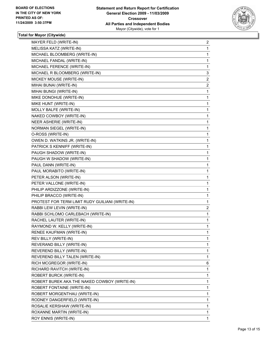

| MAYER FELD (WRITE-IN)                           | 2              |
|-------------------------------------------------|----------------|
| MELISSA KATZ (WRITE-IN)                         | 1              |
| MICHAEL BLOOMBERG (WRITE-IN)                    | 1              |
| MICHAEL FANDAL (WRITE-IN)                       | 1              |
| MICHAEL FERENCE (WRITE-IN)                      | 1              |
| MICHAEL R BLOOMBERG (WRITE-IN)                  | 3              |
| MICKEY MOUSE (WRITE-IN)                         | 2              |
| MIHAI BUNAI (WRITE-IN)                          | $\overline{2}$ |
| MIHAI BUNGI (WRITE-IN)                          | 1              |
| MIKE DONOHUE (WRITE-IN)                         | 1              |
| MIKE HUNT (WRITE-IN)                            | 1              |
| MOLLY BALFE (WRITE-IN)                          | 1              |
| NAKED COWBOY (WRITE-IN)                         | 1              |
| NEER ASHERIE (WRITE-IN)                         | 1              |
| NORMAN SIEGEL (WRITE-IN)                        | 1              |
| O-ROSS (WRITE-IN)                               | 1              |
| OWEN D. WATKINS JR. (WRITE-IN)                  | 1              |
| PATRICK S KENNIFF (WRITE-IN)                    | 1              |
| PAUGH SHADOW (WRITE-IN)                         | 1              |
| PAUGH W SHADOW (WRITE-IN)                       | 1              |
| PAUL DANN (WRITE-IN)                            | 1              |
| PAUL MORABITO (WRITE-IN)                        | 1              |
| PETER ALSON (WRITE-IN)                          | 1              |
| PETER VALLONE (WRITE-IN)                        | 1              |
| PHILIP ARDIZZONE (WRITE-IN)                     | 1              |
| PHILIP BRACCO (WRITE-IN)                        | 1              |
| PROTEST FOR TERM LIMIT RUDY GUILIANI (WRITE-IN) | 1              |
| RABBI LEW LEVIN (WRITE-IN)                      | $\overline{2}$ |
| RABBI SCHLOMO CARLEBACH (WRITE-IN)              | 1              |
| RACHEL LAUTER (WRITE-IN)                        | 1              |
| RAYMOND W. KELLY (WRITE-IN)                     | 1              |
| RENEE KAUFMAN (WRITE-IN)                        | 1              |
| REV BILLY (WRITE-IN)                            | 1              |
| REVERAND BILLY (WRITE-IN)                       | 1              |
| REVEREND BILLY (WRITE-IN)                       | 1              |
| REVEREND BILLY TALEN (WRITE-IN)                 | 1              |
| RICH MCGREGOR (WRITE-IN)                        | 6              |
| RICHARD RAVITCH (WRITE-IN)                      | 1              |
| ROBERT BURCK (WRITE-IN)                         | $\mathbf{1}$   |
| ROBERT BUREK AKA THE NAKED COWBOY (WRITE-IN)    | 1              |
| ROBERT FONTAINE (WRITE-IN)                      | 1              |
| ROBERT MORGENTHAU (WRITE-IN)                    | 1              |
| RODNEY DANGERFIELD (WRITE-IN)                   | 1              |
| ROSALIE KERSHAW (WRITE-IN)                      | 1              |
| ROXANNE MARTIN (WRITE-IN)                       | $\mathbf{1}$   |
| ROY ENNIS (WRITE-IN)                            | 1              |
|                                                 |                |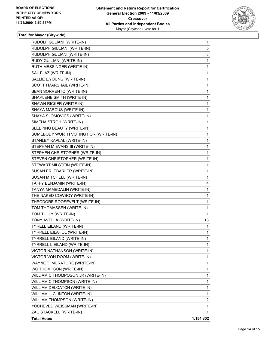

| RUDOLF GULIANI (WRITE-IN)            | $\mathbf 1$ |
|--------------------------------------|-------------|
| RUDOLPH GIULIANI (WRITE-IN)          | 5           |
| RUDOLPH GULIANI (WRITE-IN)           | 3           |
| RUDY GUILIANI (WRITE-IN)             | 1           |
| RUTH MESSINGER (WRITE-IN)            | 1           |
| SAL EJAZ (WRITE-IN)                  | 1           |
| SALLIE L.YOUNG (WRITE-IN)            | 1           |
| SCOTT I MARSHAIL (WRITE-IN)          | 1           |
| SEAN SORRENTO (WRITE-IN)             | 1           |
| SHARLENE SMITH (WRITE-IN)            | 1           |
| SHAWN RICKER (WRITE-IN)              | 1           |
| SHAYA MARCUS (WRITE-IN)              | 1           |
| SHAYA SLOMOVICS (WRITE-IN)           | 1           |
| SIMEHA STROH (WRITE-IN)              | 1           |
| SLEEPING BEAUTY (WRITE-IN)           | 1           |
| SOMEBODY WORTH VOTING FOR (WRITE-IN) | 1           |
| STANLEY KAPLAL (WRITE-IN)            | 1           |
| STEPHAN M EVANS III (WRITE-IN)       | 1           |
| STEPHEN CHRISTOPHER (WRITE-IN)       | 1           |
| STEVEN CHRISTOPHER (WRITE-IN)        | 1           |
| STEWART MILSTEIN (WRITE-IN)          | 1           |
| SUSAN ERLEBARLER (WRITE-IN)          | 1           |
| SUSAN MITCHELL (WRITE-IN)            | 1           |
| TAFFY BENJAMIN (WRITE-IN)            | 4           |
| TANYA MAMEDALIN (WRITE-IN)           | 1           |
| THE NAKED COWBOY (WRITE-IN)          | 1           |
| THEODORE ROOSEVELT (WRITE-IN)        | 1           |
| TOM THOMASSEN (WRITE-IN)             | 1           |
| TOM TULLY (WRITE-IN)                 | 1           |
| TONY AVELLA (WRITE-IN)               | 13          |
| TYRELL EILAND (WRITE-IN)             | 1           |
| TYRRELL EILAHOL (WRITE-IN)           | 1           |
| <b>TYRRELL EILAND (WRITE-IN)</b>     | 1           |
| TYRRELL L EILAND (WRITE-IN)          | $\mathbf 1$ |
| VICTOR NATHANSON (WRITE-IN)          | 1           |
| VICTOR VON DOOM (WRITE-IN)           | 1           |
| WAYNE T. MURATORE (WRITE-IN)         | 1           |
| WC THOMPSON (WRITE-IN)               | 1           |
| WILLIAM C THOMPOSON JR (WRITE-IN)    | 1           |
| WILLIAM C THOMPSON (WRITE-IN)        | 1           |
| WILLIAM DELOATCH (WRITE-IN)          | 1           |
| WILLIAM J. CLINTON (WRITE-IN)        | 1           |
| WILLIAM THOMPSON (WRITE-IN)          | 2           |
| YOCHEVED WEISSMAN (WRITE-IN)         | 1           |
| ZAC STACKELL (WRITE-IN)              | 1           |
| <b>Total Votes</b>                   | 1,154,802   |